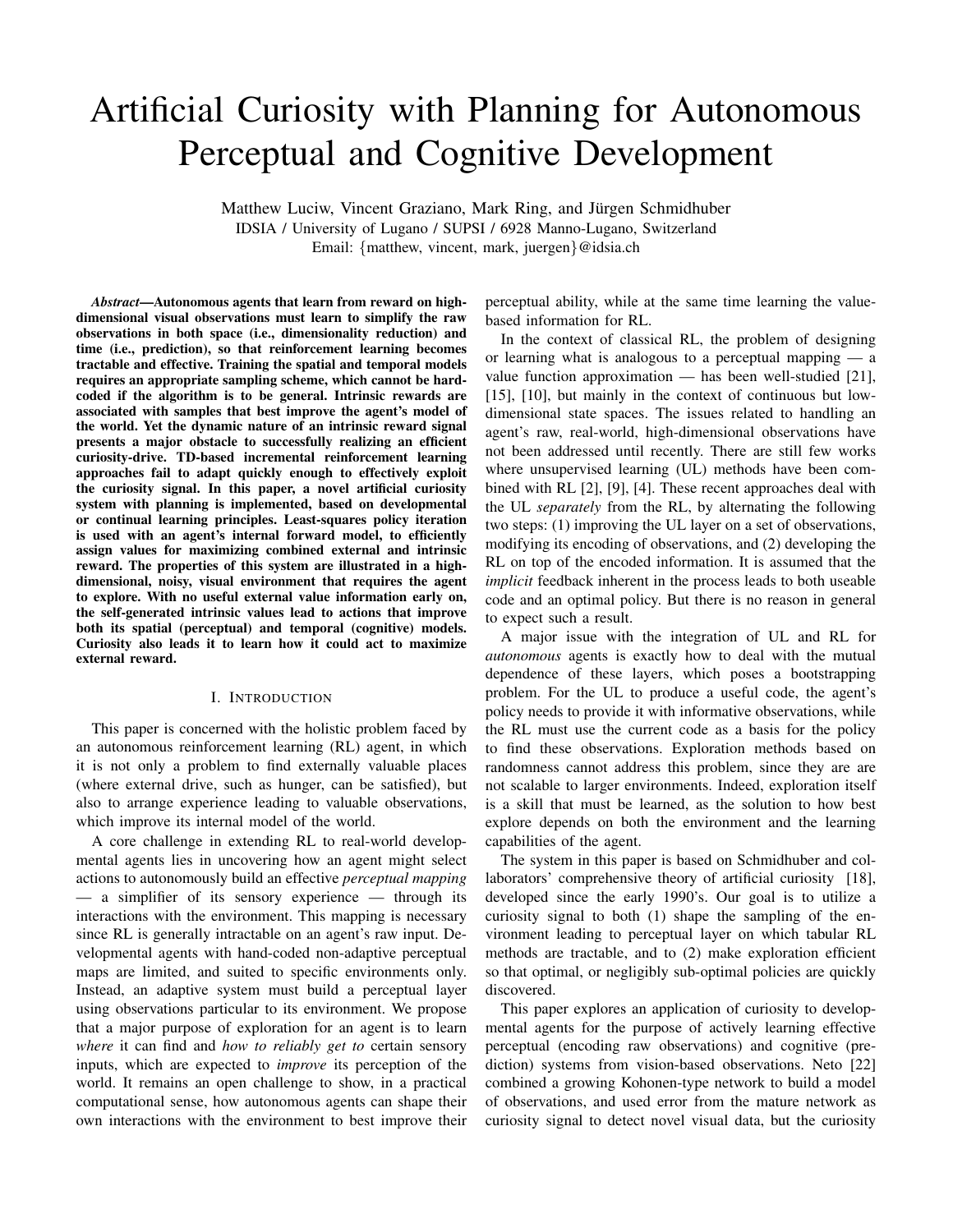# Artificial Curiosity with Planning for Autonomous Perceptual and Cognitive Development

Matthew Luciw, Vincent Graziano, Mark Ring, and Jürgen Schmidhuber IDSIA / University of Lugano / SUPSI / 6928 Manno-Lugano, Switzerland Email: *{*matthew, vincent, mark, juergen*}*@idsia.ch

*Abstract*—Autonomous agents that learn from reward on highdimensional visual observations must learn to simplify the raw observations in both space (i.e., dimensionality reduction) and time (i.e., prediction), so that reinforcement learning becomes tractable and effective. Training the spatial and temporal models requires an appropriate sampling scheme, which cannot be hardcoded if the algorithm is to be general. Intrinsic rewards are associated with samples that best improve the agent's model of the world. Yet the dynamic nature of an intrinsic reward signal presents a major obstacle to successfully realizing an efficient curiosity-drive. TD-based incremental reinforcement learning approaches fail to adapt quickly enough to effectively exploit the curiosity signal. In this paper, a novel artificial curiosity system with planning is implemented, based on developmental or continual learning principles. Least-squares policy iteration is used with an agent's internal forward model, to efficiently assign values for maximizing combined external and intrinsic reward. The properties of this system are illustrated in a highdimensional, noisy, visual environment that requires the agent to explore. With no useful external value information early on, the self-generated intrinsic values lead to actions that improve both its spatial (perceptual) and temporal (cognitive) models. Curiosity also leads it to learn how it could act to maximize external reward.

## I. INTRODUCTION

This paper is concerned with the holistic problem faced by an autonomous reinforcement learning (RL) agent, in which it is not only a problem to find externally valuable places (where external drive, such as hunger, can be satisfied), but also to arrange experience leading to valuable observations, which improve its internal model of the world.

A core challenge in extending RL to real-world developmental agents lies in uncovering how an agent might select actions to autonomously build an effective *perceptual mapping* — a simplifier of its sensory experience — through its interactions with the environment. This mapping is necessary since RL is generally intractable on an agent's raw input. Developmental agents with hand-coded non-adaptive perceptual maps are limited, and suited to specific environments only. Instead, an adaptive system must build a perceptual layer using observations particular to its environment. We propose that a major purpose of exploration for an agent is to learn *where* it can find and *how to reliably get to* certain sensory inputs, which are expected to *improve* its perception of the world. It remains an open challenge to show, in a practical computational sense, how autonomous agents can shape their own interactions with the environment to best improve their

perceptual ability, while at the same time learning the valuebased information for RL.

In the context of classical RL, the problem of designing or learning what is analogous to a perceptual mapping — a value function approximation — has been well-studied [21], [15], [10], but mainly in the context of continuous but lowdimensional state spaces. The issues related to handling an agent's raw, real-world, high-dimensional observations have not been addressed until recently. There are still few works where unsupervised learning (UL) methods have been combined with RL [2], [9], [4]. These recent approaches deal with the UL *separately* from the RL, by alternating the following two steps: (1) improving the UL layer on a set of observations, modifying its encoding of observations, and (2) developing the RL on top of the encoded information. It is assumed that the *implicit* feedback inherent in the process leads to both useable code and an optimal policy. But there is no reason in general to expect such a result.

A major issue with the integration of UL and RL for *autonomous* agents is exactly how to deal with the mutual dependence of these layers, which poses a bootstrapping problem. For the UL to produce a useful code, the agent's policy needs to provide it with informative observations, while the RL must use the current code as a basis for the policy to find these observations. Exploration methods based on randomness cannot address this problem, since they are are not scalable to larger environments. Indeed, exploration itself is a skill that must be learned, as the solution to how best explore depends on both the environment and the learning capabilities of the agent.

The system in this paper is based on Schmidhuber and collaborators' comprehensive theory of artificial curiosity [18], developed since the early 1990's. Our goal is to utilize a curiosity signal to both (1) shape the sampling of the environment leading to perceptual layer on which tabular RL methods are tractable, and to (2) make exploration efficient so that optimal, or negligibly sub-optimal policies are quickly discovered.

This paper explores an application of curiosity to developmental agents for the purpose of actively learning effective perceptual (encoding raw observations) and cognitive (prediction) systems from vision-based observations. Neto [22] combined a growing Kohonen-type network to build a model of observations, and used error from the mature network as curiosity signal to detect novel visual data, but the curiosity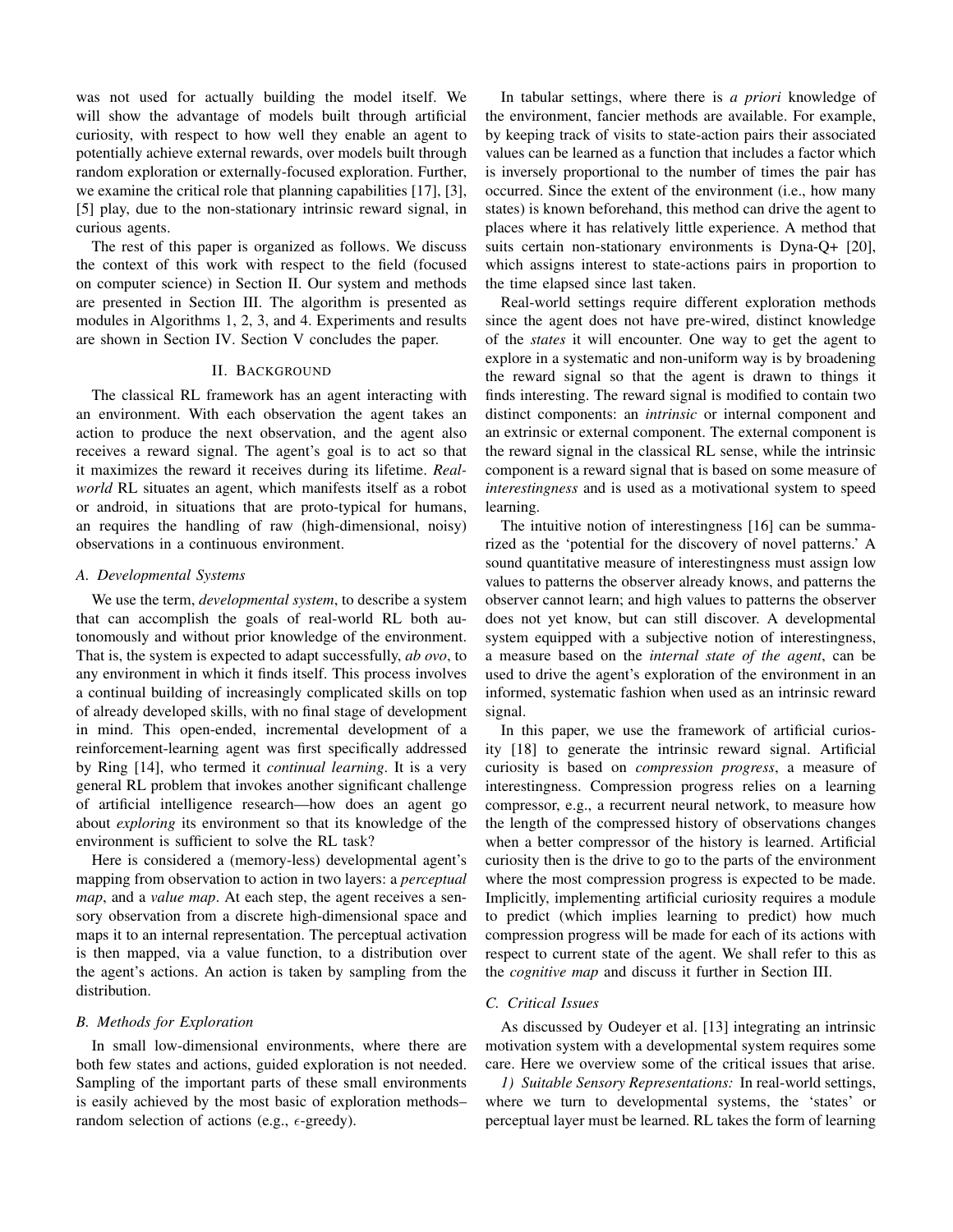was not used for actually building the model itself. We will show the advantage of models built through artificial curiosity, with respect to how well they enable an agent to potentially achieve external rewards, over models built through random exploration or externally-focused exploration. Further, we examine the critical role that planning capabilities [17], [3], [5] play, due to the non-stationary intrinsic reward signal, in curious agents.

The rest of this paper is organized as follows. We discuss the context of this work with respect to the field (focused on computer science) in Section II. Our system and methods are presented in Section III. The algorithm is presented as modules in Algorithms 1, 2, 3, and 4. Experiments and results are shown in Section IV. Section V concludes the paper.

#### II. BACKGROUND

The classical RL framework has an agent interacting with an environment. With each observation the agent takes an action to produce the next observation, and the agent also receives a reward signal. The agent's goal is to act so that it maximizes the reward it receives during its lifetime. *Realworld* RL situates an agent, which manifests itself as a robot or android, in situations that are proto-typical for humans, an requires the handling of raw (high-dimensional, noisy) observations in a continuous environment.

## *A. Developmental Systems*

We use the term, *developmental system*, to describe a system that can accomplish the goals of real-world RL both autonomously and without prior knowledge of the environment. That is, the system is expected to adapt successfully, *ab ovo*, to any environment in which it finds itself. This process involves a continual building of increasingly complicated skills on top of already developed skills, with no final stage of development in mind. This open-ended, incremental development of a reinforcement-learning agent was first specifically addressed by Ring [14], who termed it *continual learning*. It is a very general RL problem that invokes another significant challenge of artificial intelligence research—how does an agent go about *exploring* its environment so that its knowledge of the environment is sufficient to solve the RL task?

Here is considered a (memory-less) developmental agent's mapping from observation to action in two layers: a *perceptual map*, and a *value map*. At each step, the agent receives a sensory observation from a discrete high-dimensional space and maps it to an internal representation. The perceptual activation is then mapped, via a value function, to a distribution over the agent's actions. An action is taken by sampling from the distribution.

## *B. Methods for Exploration*

In small low-dimensional environments, where there are both few states and actions, guided exploration is not needed. Sampling of the important parts of these small environments is easily achieved by the most basic of exploration methods– random selection of actions (e.g., *ϵ*-greedy).

In tabular settings, where there is *a priori* knowledge of the environment, fancier methods are available. For example, by keeping track of visits to state-action pairs their associated values can be learned as a function that includes a factor which is inversely proportional to the number of times the pair has occurred. Since the extent of the environment (i.e., how many states) is known beforehand, this method can drive the agent to places where it has relatively little experience. A method that suits certain non-stationary environments is Dyna-Q+ [20], which assigns interest to state-actions pairs in proportion to the time elapsed since last taken.

Real-world settings require different exploration methods since the agent does not have pre-wired, distinct knowledge of the *states* it will encounter. One way to get the agent to explore in a systematic and non-uniform way is by broadening the reward signal so that the agent is drawn to things it finds interesting. The reward signal is modified to contain two distinct components: an *intrinsic* or internal component and an extrinsic or external component. The external component is the reward signal in the classical RL sense, while the intrinsic component is a reward signal that is based on some measure of *interestingness* and is used as a motivational system to speed learning.

The intuitive notion of interestingness [16] can be summarized as the 'potential for the discovery of novel patterns.' A sound quantitative measure of interestingness must assign low values to patterns the observer already knows, and patterns the observer cannot learn; and high values to patterns the observer does not yet know, but can still discover. A developmental system equipped with a subjective notion of interestingness, a measure based on the *internal state of the agent*, can be used to drive the agent's exploration of the environment in an informed, systematic fashion when used as an intrinsic reward signal.

In this paper, we use the framework of artificial curiosity [18] to generate the intrinsic reward signal. Artificial curiosity is based on *compression progress*, a measure of interestingness. Compression progress relies on a learning compressor, e.g., a recurrent neural network, to measure how the length of the compressed history of observations changes when a better compressor of the history is learned. Artificial curiosity then is the drive to go to the parts of the environment where the most compression progress is expected to be made. Implicitly, implementing artificial curiosity requires a module to predict (which implies learning to predict) how much compression progress will be made for each of its actions with respect to current state of the agent. We shall refer to this as the *cognitive map* and discuss it further in Section III.

## *C. Critical Issues*

As discussed by Oudeyer et al. [13] integrating an intrinsic motivation system with a developmental system requires some care. Here we overview some of the critical issues that arise.

*1) Suitable Sensory Representations:* In real-world settings, where we turn to developmental systems, the 'states' or perceptual layer must be learned. RL takes the form of learning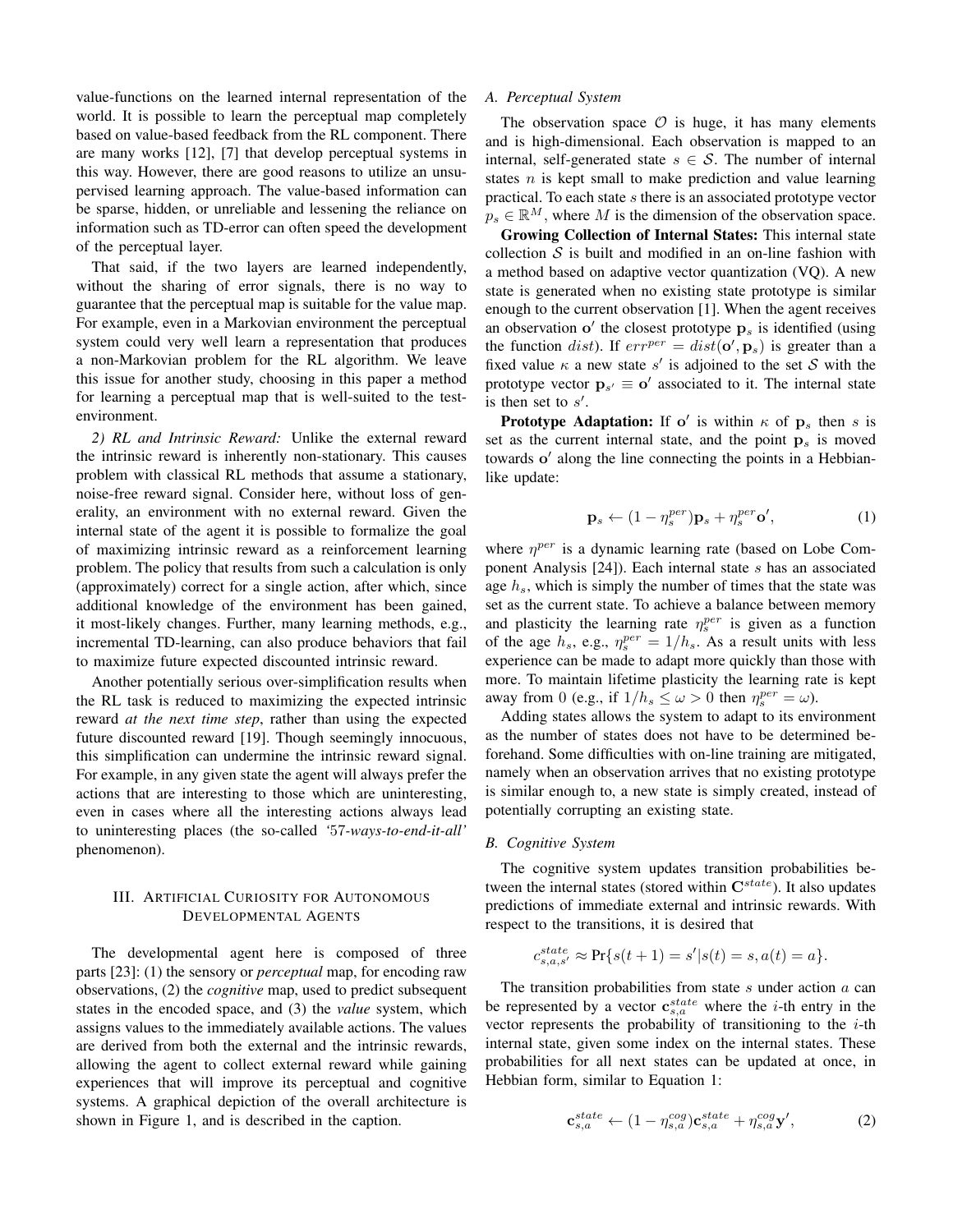value-functions on the learned internal representation of the world. It is possible to learn the perceptual map completely based on value-based feedback from the RL component. There are many works [12], [7] that develop perceptual systems in this way. However, there are good reasons to utilize an unsupervised learning approach. The value-based information can be sparse, hidden, or unreliable and lessening the reliance on information such as TD-error can often speed the development of the perceptual layer.

That said, if the two layers are learned independently, without the sharing of error signals, there is no way to guarantee that the perceptual map is suitable for the value map. For example, even in a Markovian environment the perceptual system could very well learn a representation that produces a non-Markovian problem for the RL algorithm. We leave this issue for another study, choosing in this paper a method for learning a perceptual map that is well-suited to the testenvironment.

*2) RL and Intrinsic Reward:* Unlike the external reward the intrinsic reward is inherently non-stationary. This causes problem with classical RL methods that assume a stationary, noise-free reward signal. Consider here, without loss of generality, an environment with no external reward. Given the internal state of the agent it is possible to formalize the goal of maximizing intrinsic reward as a reinforcement learning problem. The policy that results from such a calculation is only (approximately) correct for a single action, after which, since additional knowledge of the environment has been gained, it most-likely changes. Further, many learning methods, e.g., incremental TD-learning, can also produce behaviors that fail to maximize future expected discounted intrinsic reward.

Another potentially serious over-simplification results when the RL task is reduced to maximizing the expected intrinsic reward *at the next time step*, rather than using the expected future discounted reward [19]. Though seemingly innocuous, this simplification can undermine the intrinsic reward signal. For example, in any given state the agent will always prefer the actions that are interesting to those which are uninteresting, even in cases where all the interesting actions always lead to uninteresting places (the so-called *'*57*-ways-to-end-it-all'* phenomenon).

## III. ARTIFICIAL CURIOSITY FOR AUTONOMOUS DEVELOPMENTAL AGENTS

The developmental agent here is composed of three parts [23]: (1) the sensory or *perceptual* map, for encoding raw observations, (2) the *cognitive* map, used to predict subsequent states in the encoded space, and (3) the *value* system, which assigns values to the immediately available actions. The values are derived from both the external and the intrinsic rewards, allowing the agent to collect external reward while gaining experiences that will improve its perceptual and cognitive systems. A graphical depiction of the overall architecture is shown in Figure 1, and is described in the caption.

## *A. Perceptual System*

The observation space  $\mathcal O$  is huge, it has many elements and is high-dimensional. Each observation is mapped to an internal, self-generated state  $s \in S$ . The number of internal states *n* is kept small to make prediction and value learning practical. To each state *s* there is an associated prototype vector  $p_s \in \mathbb{R}^M$ , where *M* is the dimension of the observation space.

Growing Collection of Internal States: This internal state collection  $S$  is built and modified in an on-line fashion with a method based on adaptive vector quantization (VQ). A new state is generated when no existing state prototype is similar enough to the current observation [1]. When the agent receives an observation  $o'$  the closest prototype  $p_s$  is identified (using the function *dist*). If  $err^{per} = dist(\mathbf{o}', \mathbf{p}_s)$  is greater than a fixed value  $\kappa$  a new state  $s'$  is adjoined to the set  $S$  with the prototype vector  $\mathbf{p}_{s'} \equiv \mathbf{o}'$  associated to it. The internal state is then set to *s ′* .

**Prototype Adaptation:** If  $o'$  is within  $\kappa$  of  $p_s$  then *s* is set as the current internal state, and the point  $\mathbf{p}_s$  is moved towards **o** *′* along the line connecting the points in a Hebbianlike update:

$$
\mathbf{p}_s \leftarrow (1 - \eta_s^{per}) \mathbf{p}_s + \eta_s^{per} \mathbf{o}', \tag{1}
$$

where *η per* is a dynamic learning rate (based on Lobe Component Analysis [24]). Each internal state *s* has an associated age *hs*, which is simply the number of times that the state was set as the current state. To achieve a balance between memory and plasticity the learning rate  $\eta_s^{per}$  is given as a function of the age  $h_s$ , e.g.,  $\eta_s^{per} = 1/h_s$ . As a result units with less experience can be made to adapt more quickly than those with more. To maintain lifetime plasticity the learning rate is kept away from 0 (e.g., if  $1/h_s \leq \omega > 0$  then  $\eta_s^{per} = \omega$ ).

Adding states allows the system to adapt to its environment as the number of states does not have to be determined beforehand. Some difficulties with on-line training are mitigated, namely when an observation arrives that no existing prototype is similar enough to, a new state is simply created, instead of potentially corrupting an existing state.

#### *B. Cognitive System*

The cognitive system updates transition probabilities between the internal states (stored within **C***state*). It also updates predictions of immediate external and intrinsic rewards. With respect to the transitions, it is desired that

$$
c_{s,a,s'}^{state} \approx \Pr\{s(t+1) = s'|s(t) = s, a(t) = a\}.
$$

The transition probabilities from state *s* under action *a* can be represented by a vector  $\mathbf{c}_{s,a}^{state}$  where the *i*-th entry in the vector represents the probability of transitioning to the *i*-th internal state, given some index on the internal states. These probabilities for all next states can be updated at once, in Hebbian form, similar to Equation 1:

$$
\mathbf{c}_{s,a}^{state} \leftarrow (1 - \eta_{s,a}^{cog}) \mathbf{c}_{s,a}^{state} + \eta_{s,a}^{cog} \mathbf{y}',\tag{2}
$$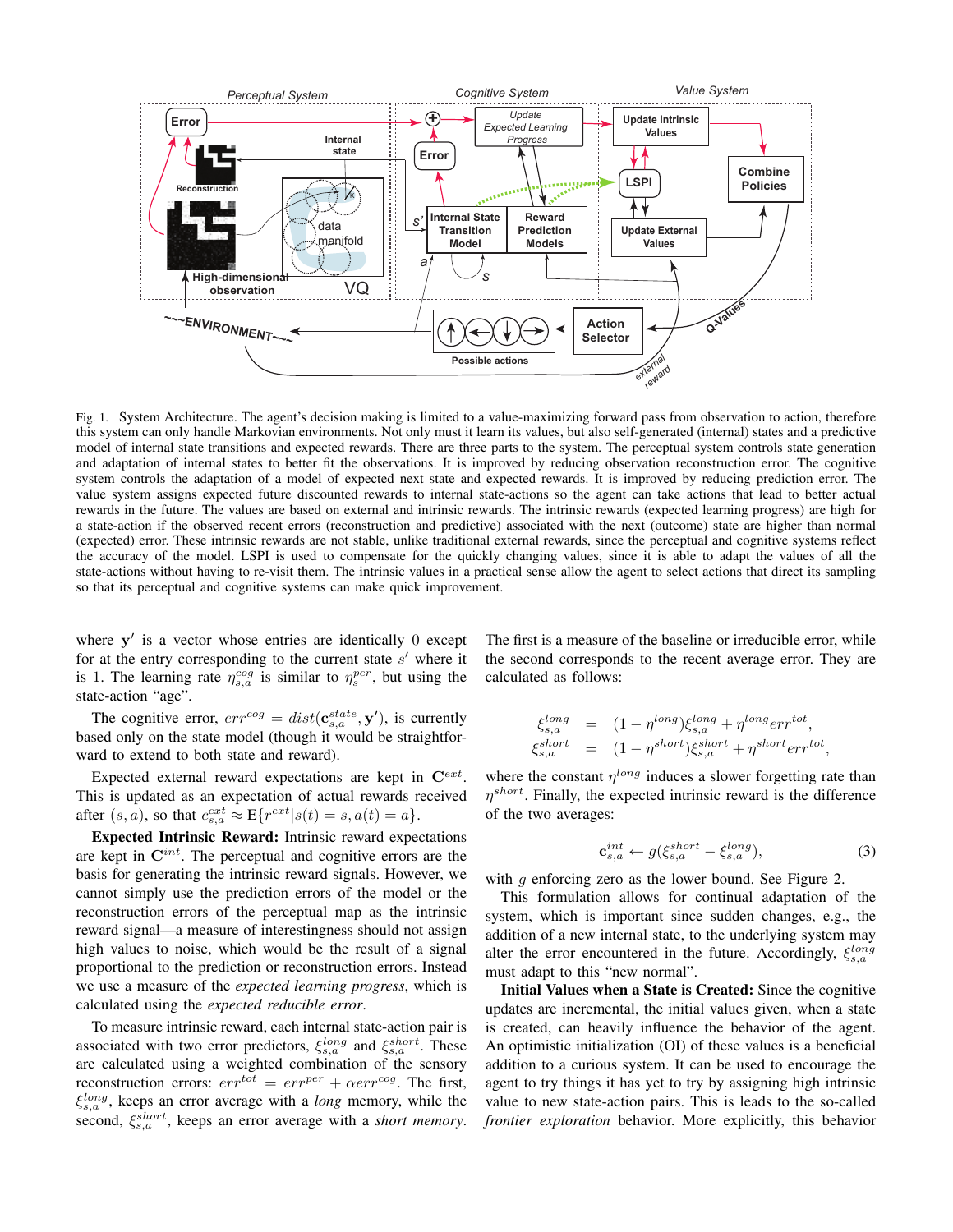

Fig. 1. System Architecture. The agent's decision making is limited to a value-maximizing forward pass from observation to action, therefore this system can only handle Markovian environments. Not only must it learn its values, but also self-generated (internal) states and a predictive model of internal state transitions and expected rewards. There are three parts to the system. The perceptual system controls state generation and adaptation of internal states to better fit the observations. It is improved by reducing observation reconstruction error. The cognitive system controls the adaptation of a model of expected next state and expected rewards. It is improved by reducing prediction error. The value system assigns expected future discounted rewards to internal state-actions so the agent can take actions that lead to better actual rewards in the future. The values are based on external and intrinsic rewards. The intrinsic rewards (expected learning progress) are high for a state-action if the observed recent errors (reconstruction and predictive) associated with the next (outcome) state are higher than normal (expected) error. These intrinsic rewards are not stable, unlike traditional external rewards, since the perceptual and cognitive systems reflect the accuracy of the model. LSPI is used to compensate for the quickly changing values, since it is able to adapt the values of all the state-actions without having to re-visit them. The intrinsic values in a practical sense allow the agent to select actions that direct its sampling so that its perceptual and cognitive systems can make quick improvement.

where  $y'$  is a vector whose entries are identically 0 except for at the entry corresponding to the current state *s ′* where it is 1. The learning rate  $\eta_{s,a}^{cog}$  is similar to  $\eta_s^{per}$ , but using the state-action "age".

The cognitive error,  $err^{cog} = dist(c_{s,a}^{state}, y')$ , is currently based only on the state model (though it would be straightforward to extend to both state and reward).

Expected external reward expectations are kept in **C***ext* . This is updated as an expectation of actual rewards received after  $(s, a)$ , so that  $c_{s,a}^{ext} \approx E\{r^{ext}|s(t) = s, a(t) = a\}$ .

Expected Intrinsic Reward: Intrinsic reward expectations are kept in **C***int*. The perceptual and cognitive errors are the basis for generating the intrinsic reward signals. However, we cannot simply use the prediction errors of the model or the reconstruction errors of the perceptual map as the intrinsic reward signal—a measure of interestingness should not assign high values to noise, which would be the result of a signal proportional to the prediction or reconstruction errors. Instead we use a measure of the *expected learning progress*, which is calculated using the *expected reducible error*.

To measure intrinsic reward, each internal state-action pair is associated with two error predictors, *ξ long s,a* and *ξ short s,a* . These are calculated using a weighted combination of the sensory reconstruction errors:  $err^{tot} = err^{per} + \alpha err^{cog}$ . The first, *ξ long s,a* , keeps an error average with a *long* memory, while the second, *ξ short s,a* , keeps an error average with a *short memory*. The first is a measure of the baseline or irreducible error, while the second corresponds to the recent average error. They are calculated as follows:

$$
\xi_{s,a}^{long} = (1 - \eta^{long}) \xi_{s,a}^{long} + \eta^{long} err^{tot},
$$
  
\n
$$
\xi_{s,a}^{short} = (1 - \eta^{short}) \xi_{s,a}^{short} + \eta^{short} err^{tot},
$$

where the constant  $\eta^{long}$  induces a slower forgetting rate than *η short*. Finally, the expected intrinsic reward is the difference of the two averages:

$$
\mathbf{c}_{s,a}^{int} \leftarrow g(\xi_{s,a}^{short} - \xi_{s,a}^{long}),\tag{3}
$$

with *q* enforcing zero as the lower bound. See Figure 2.

This formulation allows for continual adaptation of the system, which is important since sudden changes, e.g., the addition of a new internal state, to the underlying system may alter the error encountered in the future. Accordingly, *ξ long s,a* must adapt to this "new normal".

Initial Values when a State is Created: Since the cognitive updates are incremental, the initial values given, when a state is created, can heavily influence the behavior of the agent. An optimistic initialization (OI) of these values is a beneficial addition to a curious system. It can be used to encourage the agent to try things it has yet to try by assigning high intrinsic value to new state-action pairs. This is leads to the so-called *frontier exploration* behavior. More explicitly, this behavior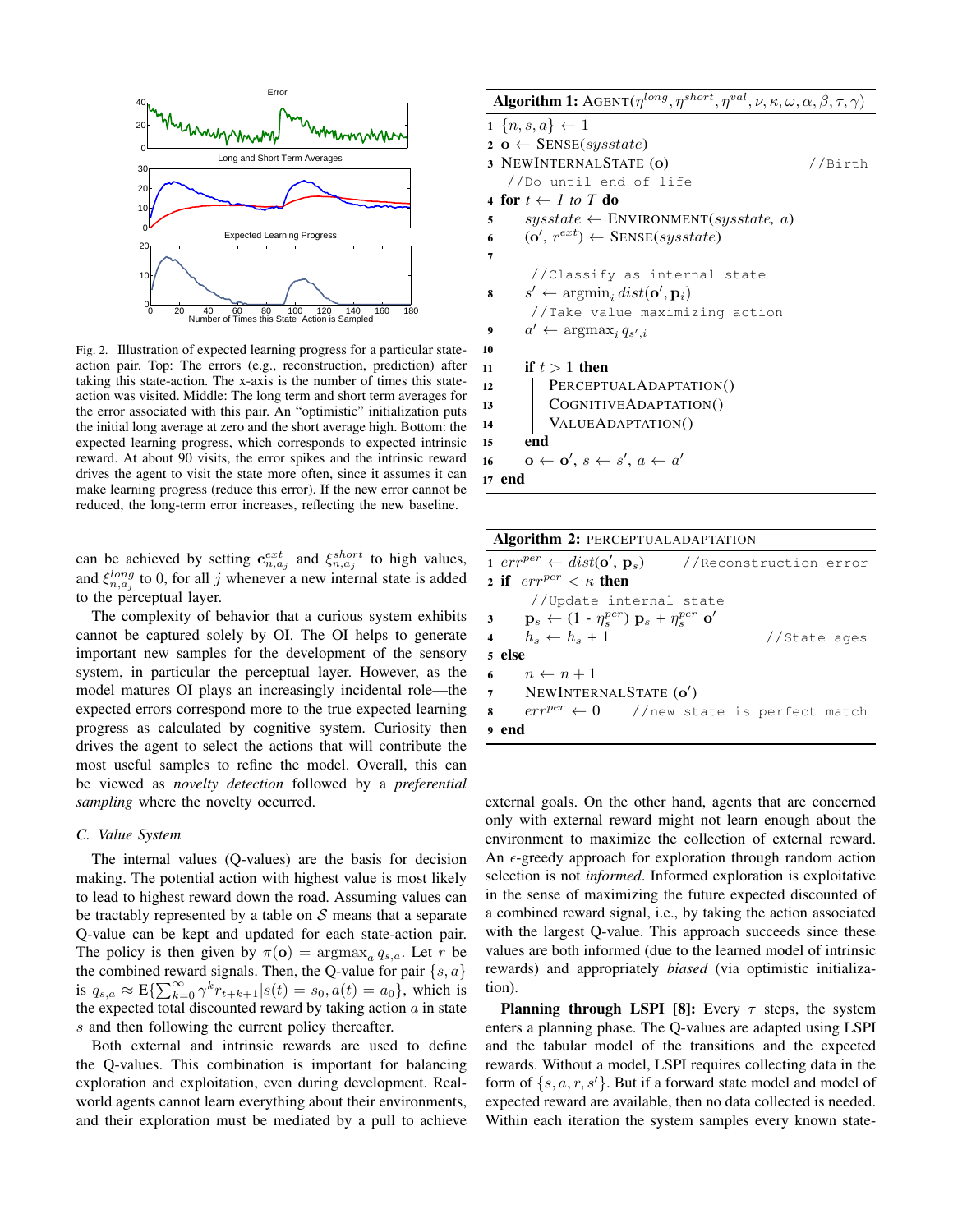

Fig. 2. Illustration of expected learning progress for a particular stateaction pair. Top: The errors (e.g., reconstruction, prediction) after taking this state-action. The x-axis is the number of times this stateaction was visited. Middle: The long term and short term averages for the error associated with this pair. An "optimistic" initialization puts the initial long average at zero and the short average high. Bottom: the expected learning progress, which corresponds to expected intrinsic reward. At about 90 visits, the error spikes and the intrinsic reward drives the agent to visit the state more often, since it assumes it can make learning progress (reduce this error). If the new error cannot be reduced, the long-term error increases, reflecting the new baseline.

can be achieved by setting  $\mathbf{c}_{n,a_j}^{ext}$  and  $\xi_{n,a_j}^{short}$  to high values, and  $\xi_{n,a_j}^{long}$  to 0, for all *j* whenever a new internal state is added to the perceptual layer.

The complexity of behavior that a curious system exhibits cannot be captured solely by OI. The OI helps to generate important new samples for the development of the sensory system, in particular the perceptual layer. However, as the model matures OI plays an increasingly incidental role—the expected errors correspond more to the true expected learning progress as calculated by cognitive system. Curiosity then drives the agent to select the actions that will contribute the most useful samples to refine the model. Overall, this can be viewed as *novelty detection* followed by a *preferential sampling* where the novelty occurred.

## *C. Value System*

The internal values (Q-values) are the basis for decision making. The potential action with highest value is most likely to lead to highest reward down the road. Assuming values can be tractably represented by a table on *S* means that a separate Q-value can be kept and updated for each state-action pair. The policy is then given by  $\pi(\mathbf{o}) = \arg \max_a q_{s,a}$ . Let *r* be the combined reward signals. Then, the Q-value for pair *{s, a}* is  $q_{s,a} \approx E\{\sum_{k=0}^{\infty} \gamma^k r_{t+k+1} | s(t) = s_0, a(t) = a_0\}$ , which is the expected total discounted reward by taking action *a* in state *s* and then following the current policy thereafter.

Both external and intrinsic rewards are used to define the Q-values. This combination is important for balancing exploration and exploitation, even during development. Realworld agents cannot learn everything about their environments, and their exploration must be mediated by a pull to achieve

**Algorithm 1:**  $\text{AGENT}(\eta^{long}, \eta^{short}, \eta^{val}, \nu, \kappa, \omega, \alpha, \beta, \tau, \gamma)$  $1 \{n, s, a\} \leftarrow 1$  $2 \, \text{o} \leftarrow$  SENSE(*sysstate*) <sup>3</sup> NEWINTERNALSTATE (**o**) //Birth //Do until end of life 4 for  $t \leftarrow I$  to T do  $s$  *sysstate*  $\leftarrow$  ENVIRONMENT(*sysstate, a*)  $\mathbf{6}$   $\vert$   $\mathbf{(o', r^{ext}) \leftarrow$  SENSE(*sysstate*) 7 //Classify as internal state  $s' \leftarrow \operatorname{argmin}_i dist(o', \mathbf{p}_i)$ //Take value maximizing action  $q' \leftarrow \arg \max_i q_{s',i}$ 10 11 **if**  $t > 1$  then 12 | PERCEPTUALADAPTATION() 13 | COGNITIVEADAPTATION() <sup>14</sup> VALUEADAPTATION() <sup>15</sup> end  $\mathbf{0} \leftarrow \mathbf{0}', s \leftarrow s', a \leftarrow a'$ 

<sup>17</sup> end

Algorithm 2: PERCEPTUALADAPTATION

 $1$   $err^{per} \leftarrow dist(o')$ , **p***s*) //Reconstruction error 2 if  $err^{per} < \kappa$  then //Update internal state  $\mathbf{p}_s \leftarrow (1 - \eta_s^{per}) \mathbf{p}_s + \eta_s^{per} \mathbf{0}'$  $h_s \leftarrow h_s + 1$  //State ages <sup>5</sup> else 6  $n \leftarrow n+1$ <sup>7</sup> NEWINTERNALSTATE (**o** *′* )  $8 \mid err^{per} \leftarrow 0$  //new state is perfect match <sup>9</sup> end

external goals. On the other hand, agents that are concerned only with external reward might not learn enough about the environment to maximize the collection of external reward. An *ϵ*-greedy approach for exploration through random action selection is not *informed*. Informed exploration is exploitative in the sense of maximizing the future expected discounted of a combined reward signal, i.e., by taking the action associated with the largest Q-value. This approach succeeds since these values are both informed (due to the learned model of intrinsic rewards) and appropriately *biased* (via optimistic initialization).

**Planning through LSPI [8]:** Every  $\tau$  steps, the system enters a planning phase. The Q-values are adapted using LSPI and the tabular model of the transitions and the expected rewards. Without a model, LSPI requires collecting data in the form of *{s, a, r, s′}*. But if a forward state model and model of expected reward are available, then no data collected is needed. Within each iteration the system samples every known state-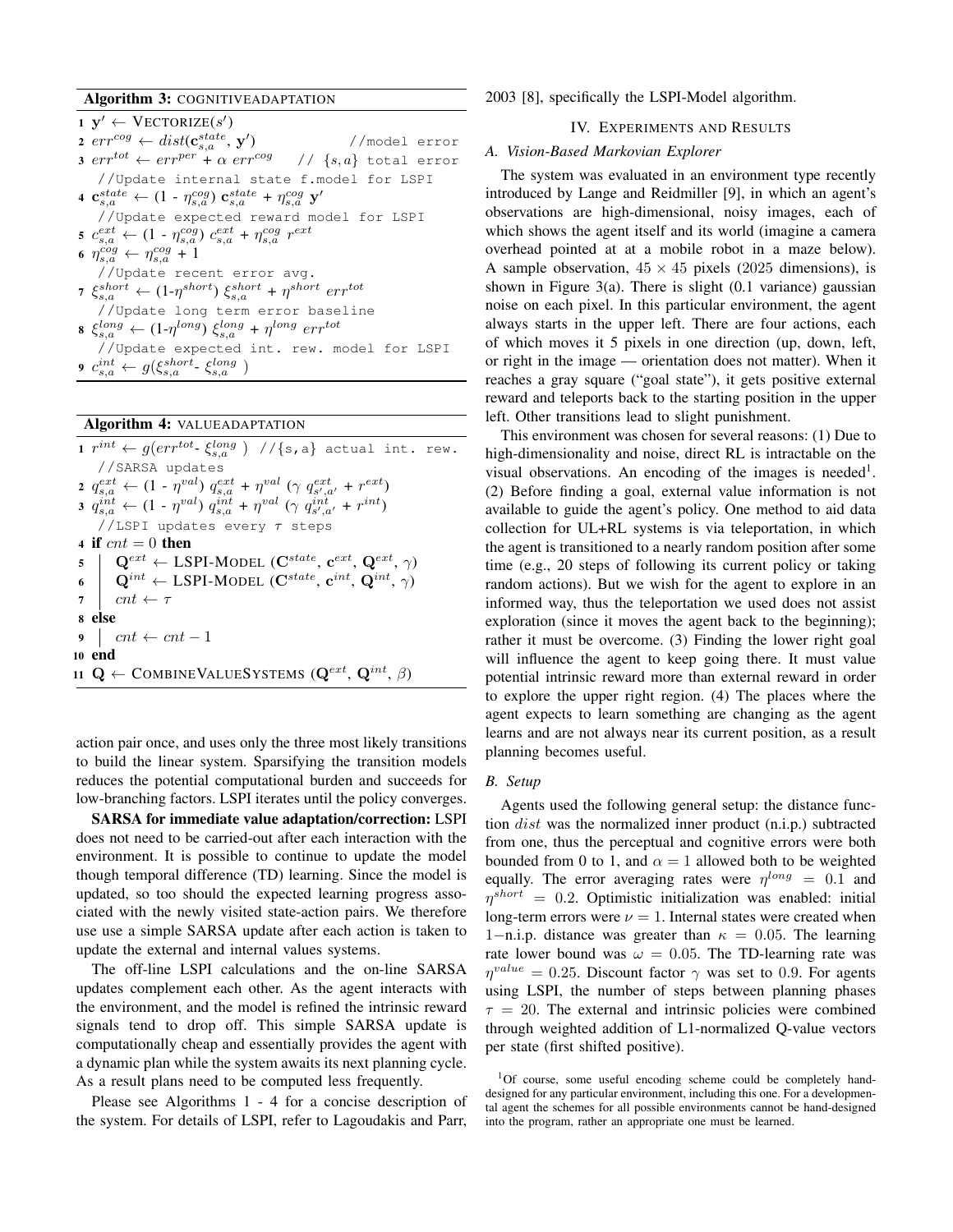#### Algorithm 3: COGNITIVEADAPTATION

| $\mathbf{y}' \leftarrow \text{VECTORIZE}(s')$                                                                          |
|------------------------------------------------------------------------------------------------------------------------|
| 2 err <sup>cog</sup> $\leftarrow dist(\mathbf{c}_{s,a}^{state}, \mathbf{y}')$<br>//model error                         |
| $s$ err <sup>tot</sup> $\leftarrow err^{per} + \alpha err^{cog}$ // {s, a} total error                                 |
| //Update internal state f.model for LSPI                                                                               |
| 4 $\mathbf{c}_{s,a}^{state} \leftarrow (1 - \eta_{s,a}^{cog}) \mathbf{c}_{s,a}^{state} + \eta_{s,a}^{cog} \mathbf{y}'$ |
| //Update expected reward model for LSPI                                                                                |
| 5 $c_{s,a}^{ext} \leftarrow (1 - \eta_{s,a}^{cog}) c_{s,a}^{ext} + \eta_{s,a}^{cog} r^{ext}$                           |
| 6 $\eta_{s,a}^{cog} \leftarrow \eta_{s,a}^{cog} + 1$                                                                   |
| //Update recent error avg.                                                                                             |
| 7 $\xi_{s,a}^{short} \leftarrow (1-\eta^{short}) \xi_{s,a}^{short} + \eta^{short} \text{ } err^{tot}$                  |
| //Update long term error baseline                                                                                      |
| $\frac{1}{2}$ $\xi_{s,a}^{long} \leftarrow (1-\eta^{long}) \xi_{s,a}^{long} + \eta^{long}$ err <sup>tot</sup>          |
| //Update expected int. rew. model for LSPI                                                                             |
| 9 $c_{s,a}^{int} \leftarrow g(\xi_{s,a}^{short} - \xi_{s,a}^{long})$                                                   |

## Algorithm 4: VALUEADAPTATION

 $1 \ r^{int} \leftarrow g(err^{tot} \cdot \xi_{s,a}^{long})$  //{s,a} actual int. rew. //SARSA updates  $\alpha$  *q*<sup>ext</sup><sub>s,a</sub>  $\leftarrow$  (1 - *η*<sup>val</sup>) *q*<sub>s,a</sub><sup>*t*</sup> + *η*<sup>val</sup> ( $\gamma$  *q*<sub>s',a'</sub> + *r*<sup>*ext*</sup>)  $a \, d \, g_{s,a}^{int} \leftarrow (1 - \eta^{val}) \, g_{s,a}^{int} + \eta^{val} \, (\gamma \, g_{s',a'}^{int} + r^{int})$ //LSPI updates every *τ* steps 4 if  $cnt = 0$  then  $\mathbf{Q}^{ext} \leftarrow \text{LSPI-MODEL} (\mathbf{C}^{state}, \mathbf{c}^{ext}, \mathbf{Q}^{ext}, \gamma)$  $\mathbf{Q}^{int} \gets \text{LSPI-MODEL} \ (\textbf{C}^{state}, \ \textbf{c}^{int}, \ \textbf{Q}^{int}, \ \gamma)$  $\tau$  *cnt*  $\leftarrow$   $\tau$ <sup>8</sup> else 9  $\cdot$  *cnt*  $\leftarrow$  *cnt*  $-1$ <sup>10</sup> end <sup>11</sup> **Q** *←* COMBINEVALUESYSTEMS (**Q***ext* , **Q***int* , *β*)

action pair once, and uses only the three most likely transitions to build the linear system. Sparsifying the transition models reduces the potential computational burden and succeeds for low-branching factors. LSPI iterates until the policy converges.

SARSA for immediate value adaptation/correction: LSPI does not need to be carried-out after each interaction with the environment. It is possible to continue to update the model though temporal difference (TD) learning. Since the model is updated, so too should the expected learning progress associated with the newly visited state-action pairs. We therefore use use a simple SARSA update after each action is taken to update the external and internal values systems.

The off-line LSPI calculations and the on-line SARSA updates complement each other. As the agent interacts with the environment, and the model is refined the intrinsic reward signals tend to drop off. This simple SARSA update is computationally cheap and essentially provides the agent with a dynamic plan while the system awaits its next planning cycle. As a result plans need to be computed less frequently.

Please see Algorithms 1 - 4 for a concise description of the system. For details of LSPI, refer to Lagoudakis and Parr,

#### 2003 [8], specifically the LSPI-Model algorithm.

# IV. EXPERIMENTS AND RESULTS

## *A. Vision-Based Markovian Explorer*

The system was evaluated in an environment type recently introduced by Lange and Reidmiller [9], in which an agent's observations are high-dimensional, noisy images, each of which shows the agent itself and its world (imagine a camera overhead pointed at at a mobile robot in a maze below). A sample observation,  $45 \times 45$  pixels (2025 dimensions), is shown in Figure  $3(a)$ . There is slight  $(0.1 \text{ variance})$  gaussian noise on each pixel. In this particular environment, the agent always starts in the upper left. There are four actions, each of which moves it 5 pixels in one direction (up, down, left, or right in the image — orientation does not matter). When it reaches a gray square ("goal state"), it gets positive external reward and teleports back to the starting position in the upper left. Other transitions lead to slight punishment.

This environment was chosen for several reasons: (1) Due to high-dimensionality and noise, direct RL is intractable on the visual observations. An encoding of the images is needed<sup>1</sup>. (2) Before finding a goal, external value information is not available to guide the agent's policy. One method to aid data collection for UL+RL systems is via teleportation, in which the agent is transitioned to a nearly random position after some time (e.g., 20 steps of following its current policy or taking random actions). But we wish for the agent to explore in an informed way, thus the teleportation we used does not assist exploration (since it moves the agent back to the beginning); rather it must be overcome. (3) Finding the lower right goal will influence the agent to keep going there. It must value potential intrinsic reward more than external reward in order to explore the upper right region. (4) The places where the agent expects to learn something are changing as the agent learns and are not always near its current position, as a result planning becomes useful.

#### *B. Setup*

Agents used the following general setup: the distance function *dist* was the normalized inner product (n.i.p.) subtracted from one, thus the perceptual and cognitive errors were both bounded from 0 to 1, and  $\alpha = 1$  allowed both to be weighted equally. The error averaging rates were  $\eta^{long} = 0.1$  and *η short* = 0*.*2. Optimistic initialization was enabled: initial long-term errors were  $\nu = 1$ . Internal states were created when 1−n.i.p. distance was greater than  $\kappa = 0.05$ . The learning rate lower bound was  $\omega = 0.05$ . The TD-learning rate was  $\eta^{value} = 0.25$ . Discount factor  $\gamma$  was set to 0.9. For agents using LSPI, the number of steps between planning phases  $\tau = 20$ . The external and intrinsic policies were combined through weighted addition of L1-normalized Q-value vectors per state (first shifted positive).

<sup>&</sup>lt;sup>1</sup>Of course, some useful encoding scheme could be completely handdesigned for any particular environment, including this one. For a developmental agent the schemes for all possible environments cannot be hand-designed into the program, rather an appropriate one must be learned.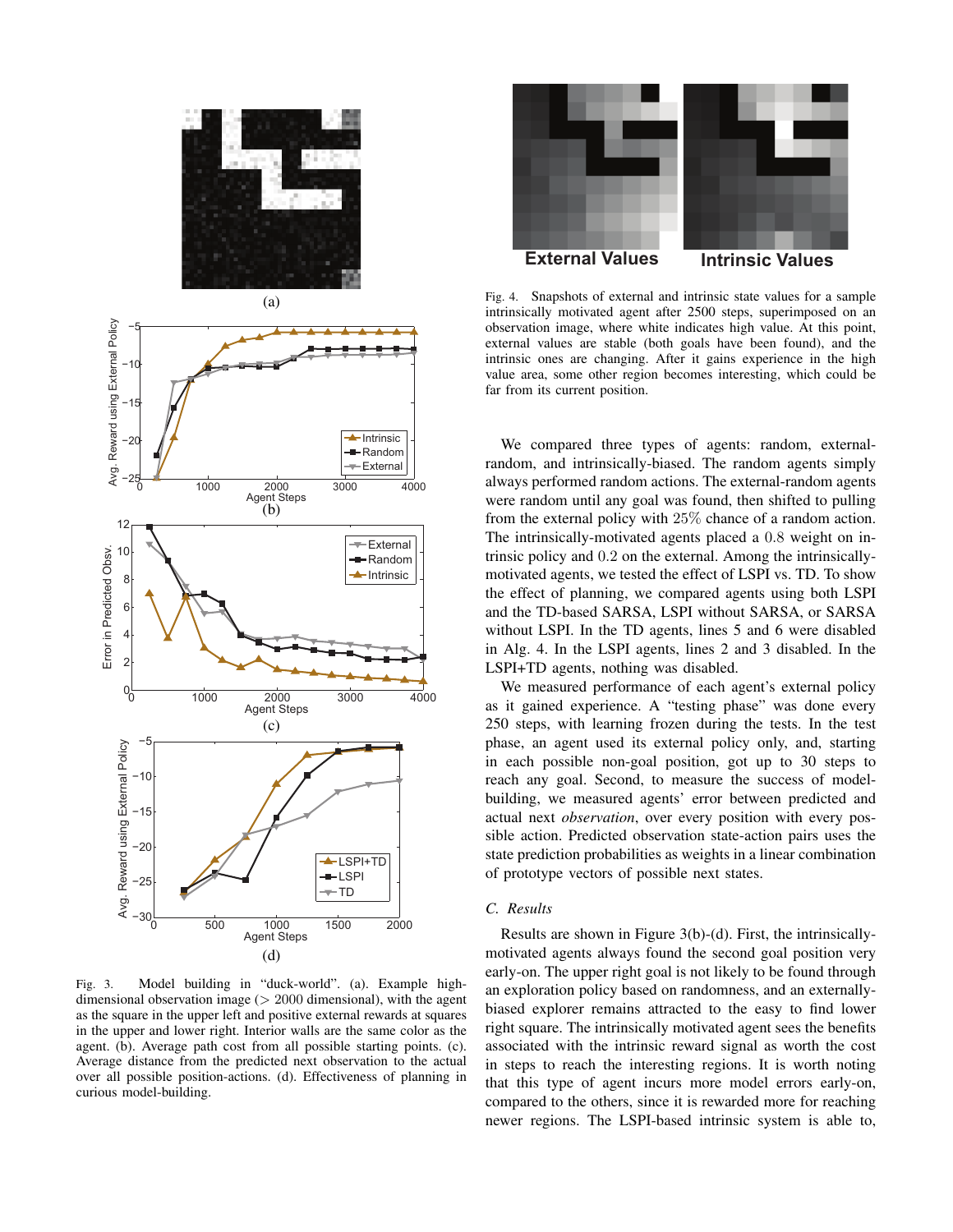

Fig. 3. Model building in "duck-world". (a). Example highdimensional observation image (*>* 2000 dimensional), with the agent as the square in the upper left and positive external rewards at squares in the upper and lower right. Interior walls are the same color as the agent. (b). Average path cost from all possible starting points. (c). Average distance from the predicted next observation to the actual over all possible position-actions. (d). Effectiveness of planning in curious model-building.



Fig. 4. Snapshots of external and intrinsic state values for a sample intrinsically motivated agent after 2500 steps, superimposed on an observation image, where white indicates high value. At this point, external values are stable (both goals have been found), and the intrinsic ones are changing. After it gains experience in the high value area, some other region becomes interesting, which could be far from its current position.

We compared three types of agents: random, externalrandom, and intrinsically-biased. The random agents simply always performed random actions. The external-random agents were random until any goal was found, then shifted to pulling from the external policy with 25% chance of a random action. The intrinsically-motivated agents placed a 0*.*8 weight on intrinsic policy and 0*.*2 on the external. Among the intrinsicallymotivated agents, we tested the effect of LSPI vs. TD. To show the effect of planning, we compared agents using both LSPI and the TD-based SARSA, LSPI without SARSA, or SARSA without LSPI. In the TD agents, lines 5 and 6 were disabled in Alg. 4. In the LSPI agents, lines 2 and 3 disabled. In the LSPI+TD agents, nothing was disabled.

We measured performance of each agent's external policy as it gained experience. A "testing phase" was done every 250 steps, with learning frozen during the tests. In the test phase, an agent used its external policy only, and, starting in each possible non-goal position, got up to 30 steps to reach any goal. Second, to measure the success of modelbuilding, we measured agents' error between predicted and actual next *observation*, over every position with every possible action. Predicted observation state-action pairs uses the state prediction probabilities as weights in a linear combination of prototype vectors of possible next states.

# *C. Results*

Results are shown in Figure 3(b)-(d). First, the intrinsicallymotivated agents always found the second goal position very early-on. The upper right goal is not likely to be found through an exploration policy based on randomness, and an externallybiased explorer remains attracted to the easy to find lower right square. The intrinsically motivated agent sees the benefits associated with the intrinsic reward signal as worth the cost in steps to reach the interesting regions. It is worth noting that this type of agent incurs more model errors early-on, compared to the others, since it is rewarded more for reaching newer regions. The LSPI-based intrinsic system is able to,